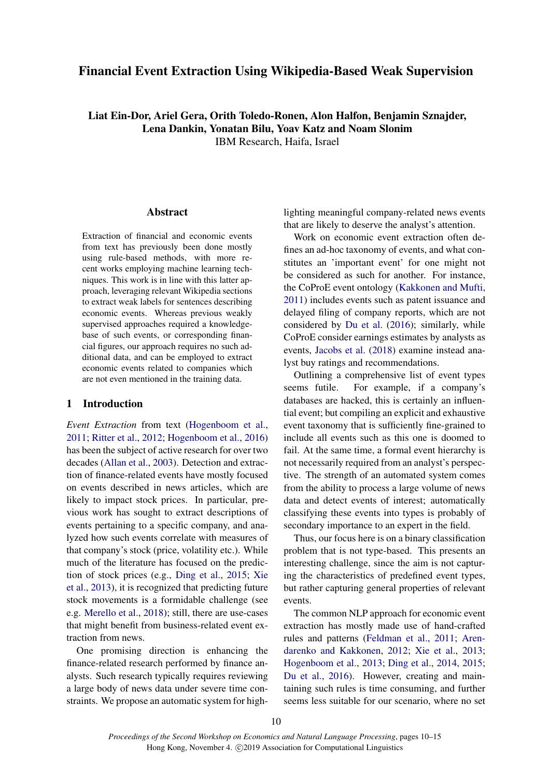# Financial Event Extraction Using Wikipedia-Based Weak Supervision

Liat Ein-Dor, Ariel Gera, Orith Toledo-Ronen, Alon Halfon, Benjamin Sznajder, Lena Dankin, Yonatan Bilu, Yoav Katz and Noam Slonim IBM Research, Haifa, Israel

**Abstract** 

Extraction of financial and economic events from text has previously been done mostly using rule-based methods, with more recent works employing machine learning techniques. This work is in line with this latter approach, leveraging relevant Wikipedia sections to extract weak labels for sentences describing economic events. Whereas previous weakly supervised approaches required a knowledgebase of such events, or corresponding financial figures, our approach requires no such additional data, and can be employed to extract economic events related to companies which are not even mentioned in the training data.

#### 1 Introduction

*Event Extraction* from text [\(Hogenboom et al.,](#page-5-0) [2011;](#page-5-0) [Ritter et al.,](#page-5-1) [2012;](#page-5-1) [Hogenboom et al.,](#page-5-2) [2016\)](#page-5-2) has been the subject of active research for over two decades [\(Allan et al.,](#page-4-0) [2003\)](#page-4-0). Detection and extraction of finance-related events have mostly focused on events described in news articles, which are likely to impact stock prices. In particular, previous work has sought to extract descriptions of events pertaining to a specific company, and analyzed how such events correlate with measures of that company's stock (price, volatility etc.). While much of the literature has focused on the prediction of stock prices (e.g., [Ding et al.,](#page-4-1) [2015;](#page-4-1) [Xie](#page-5-3) [et al.,](#page-5-3) [2013\)](#page-5-3), it is recognized that predicting future stock movements is a formidable challenge (see e.g. [Merello et al.,](#page-5-4) [2018\)](#page-5-4); still, there are use-cases that might benefit from business-related event extraction from news.

One promising direction is enhancing the finance-related research performed by finance analysts. Such research typically requires reviewing a large body of news data under severe time constraints. We propose an automatic system for high-

lighting meaningful company-related news events that are likely to deserve the analyst's attention.

Work on economic event extraction often defines an ad-hoc taxonomy of events, and what constitutes an 'important event' for one might not be considered as such for another. For instance, the CoProE event ontology [\(Kakkonen and Mufti,](#page-5-5) [2011\)](#page-5-5) includes events such as patent issuance and delayed filing of company reports, which are not considered by [Du et al.](#page-4-2) [\(2016\)](#page-4-2); similarly, while CoProE consider earnings estimates by analysts as events, [Jacobs et al.](#page-5-6) [\(2018\)](#page-5-6) examine instead analyst buy ratings and recommendations.

Outlining a comprehensive list of event types seems futile. For example, if a company's databases are hacked, this is certainly an influential event; but compiling an explicit and exhaustive event taxonomy that is sufficiently fine-grained to include all events such as this one is doomed to fail. At the same time, a formal event hierarchy is not necessarily required from an analyst's perspective. The strength of an automated system comes from the ability to process a large volume of news data and detect events of interest; automatically classifying these events into types is probably of secondary importance to an expert in the field.

Thus, our focus here is on a binary classification problem that is not type-based. This presents an interesting challenge, since the aim is not capturing the characteristics of predefined event types, but rather capturing general properties of relevant events.

The common NLP approach for economic event extraction has mostly made use of hand-crafted rules and patterns [\(Feldman et al.,](#page-5-7) [2011;](#page-5-7) [Aren](#page-4-3)[darenko and Kakkonen,](#page-4-3) [2012;](#page-4-3) [Xie et al.,](#page-5-3) [2013;](#page-5-3) [Hogenboom et al.,](#page-5-8) [2013;](#page-5-8) [Ding et al.,](#page-4-4) [2014,](#page-4-4) [2015;](#page-4-1) [Du et al.,](#page-4-2) [2016\)](#page-4-2). However, creating and maintaining such rules is time consuming, and further seems less suitable for our scenario, where no set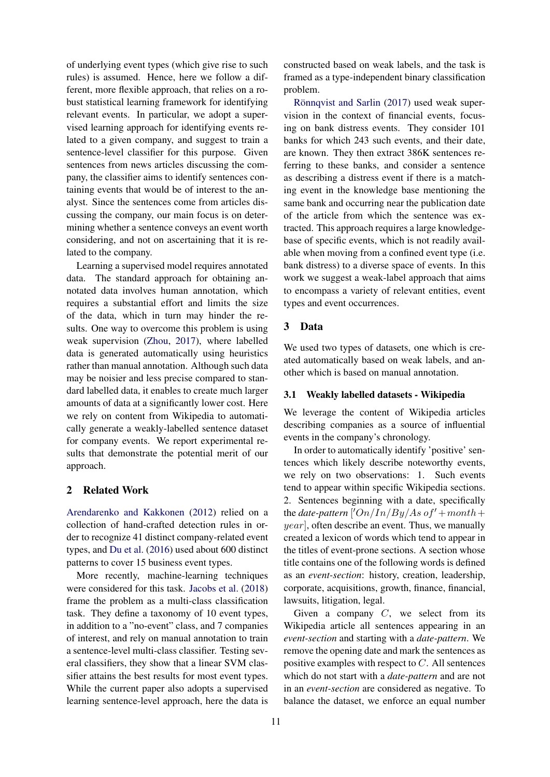of underlying event types (which give rise to such rules) is assumed. Hence, here we follow a different, more flexible approach, that relies on a robust statistical learning framework for identifying relevant events. In particular, we adopt a supervised learning approach for identifying events related to a given company, and suggest to train a sentence-level classifier for this purpose. Given sentences from news articles discussing the company, the classifier aims to identify sentences containing events that would be of interest to the analyst. Since the sentences come from articles discussing the company, our main focus is on determining whether a sentence conveys an event worth considering, and not on ascertaining that it is related to the company.

Learning a supervised model requires annotated data. The standard approach for obtaining annotated data involves human annotation, which requires a substantial effort and limits the size of the data, which in turn may hinder the results. One way to overcome this problem is using weak supervision [\(Zhou,](#page-5-9) [2017\)](#page-5-9), where labelled data is generated automatically using heuristics rather than manual annotation. Although such data may be noisier and less precise compared to standard labelled data, it enables to create much larger amounts of data at a significantly lower cost. Here we rely on content from Wikipedia to automatically generate a weakly-labelled sentence dataset for company events. We report experimental results that demonstrate the potential merit of our approach.

## 2 Related Work

[Arendarenko and Kakkonen](#page-4-3) [\(2012\)](#page-4-3) relied on a collection of hand-crafted detection rules in order to recognize 41 distinct company-related event types, and [Du et al.](#page-4-2) [\(2016\)](#page-4-2) used about 600 distinct patterns to cover 15 business event types.

More recently, machine-learning techniques were considered for this task. [Jacobs et al.](#page-5-6) [\(2018\)](#page-5-6) frame the problem as a multi-class classification task. They define a taxonomy of 10 event types, in addition to a "no-event" class, and 7 companies of interest, and rely on manual annotation to train a sentence-level multi-class classifier. Testing several classifiers, they show that a linear SVM classifier attains the best results for most event types. While the current paper also adopts a supervised learning sentence-level approach, here the data is

constructed based on weak labels, and the task is framed as a type-independent binary classification problem.

Rönnqvist and Sarlin [\(2017\)](#page-5-10) used weak supervision in the context of financial events, focusing on bank distress events. They consider 101 banks for which 243 such events, and their date, are known. They then extract 386K sentences referring to these banks, and consider a sentence as describing a distress event if there is a matching event in the knowledge base mentioning the same bank and occurring near the publication date of the article from which the sentence was extracted. This approach requires a large knowledgebase of specific events, which is not readily available when moving from a confined event type (i.e. bank distress) to a diverse space of events. In this work we suggest a weak-label approach that aims to encompass a variety of relevant entities, event types and event occurrences.

## <span id="page-1-0"></span>3 Data

We used two types of datasets, one which is created automatically based on weak labels, and another which is based on manual annotation.

#### 3.1 Weakly labelled datasets - Wikipedia

We leverage the content of Wikipedia articles describing companies as a source of influential events in the company's chronology.

In order to automatically identify 'positive' sentences which likely describe noteworthy events, we rely on two observations: 1. Such events tend to appear within specific Wikipedia sections. 2. Sentences beginning with a date, specifically the *date-pattern*  $\left[ \frac{\ln \ln \log \log t}{\ln \log \log t} + \frac{\ln \ln \log \log t}{\ln \log \log \log \log t} \right]$  $year$ ], often describe an event. Thus, we manually created a lexicon of words which tend to appear in the titles of event-prone sections. A section whose title contains one of the following words is defined as an *event-section*: history, creation, leadership, corporate, acquisitions, growth, finance, financial, lawsuits, litigation, legal.

Given a company  $C$ , we select from its Wikipedia article all sentences appearing in an *event-section* and starting with a *date-pattern*. We remove the opening date and mark the sentences as positive examples with respect to C. All sentences which do not start with a *date-pattern* and are not in an *event-section* are considered as negative. To balance the dataset, we enforce an equal number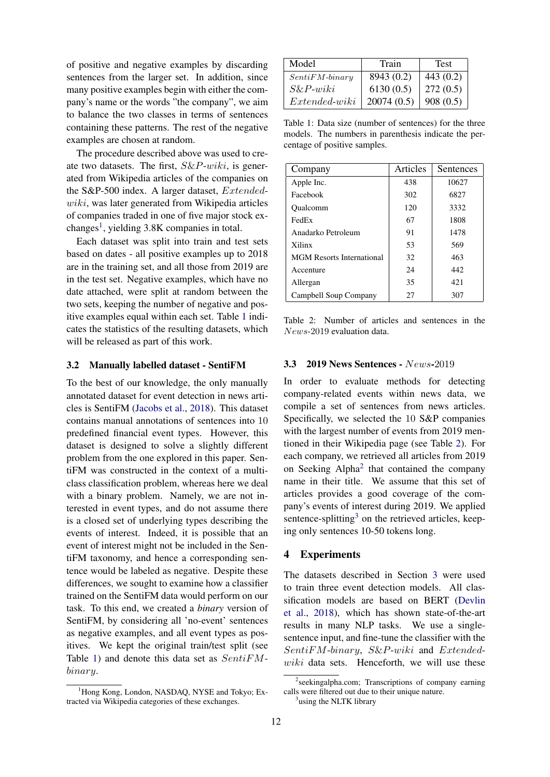of positive and negative examples by discarding sentences from the larger set. In addition, since many positive examples begin with either the company's name or the words "the company", we aim to balance the two classes in terms of sentences containing these patterns. The rest of the negative examples are chosen at random.

The procedure described above was used to create two datasets. The first,  $S\&P\text{-}wiki$ , is generated from Wikipedia articles of the companies on the S&P-500 index. A larger dataset, Extended $wiki$ , was later generated from Wikipedia articles of companies traded in one of five major stock ex-changes<sup>[1](#page-2-0)</sup>, yielding 3.8K companies in total.

Each dataset was split into train and test sets based on dates - all positive examples up to 2018 are in the training set, and all those from 2019 are in the test set. Negative examples, which have no date attached, were split at random between the two sets, keeping the number of negative and positive examples equal within each set. Table [1](#page-2-1) indicates the statistics of the resulting datasets, which will be released as part of this work.

## 3.2 Manually labelled dataset - SentiFM

To the best of our knowledge, the only manually annotated dataset for event detection in news articles is SentiFM [\(Jacobs et al.,](#page-5-6) [2018\)](#page-5-6). This dataset contains manual annotations of sentences into 10 predefined financial event types. However, this dataset is designed to solve a slightly different problem from the one explored in this paper. SentiFM was constructed in the context of a multiclass classification problem, whereas here we deal with a binary problem. Namely, we are not interested in event types, and do not assume there is a closed set of underlying types describing the events of interest. Indeed, it is possible that an event of interest might not be included in the SentiFM taxonomy, and hence a corresponding sentence would be labeled as negative. Despite these differences, we sought to examine how a classifier trained on the SentiFM data would perform on our task. To this end, we created a *binary* version of SentiFM, by considering all 'no-event' sentences as negative examples, and all event types as positives. We kept the original train/test split (see Table [1\)](#page-2-1) and denote this data set as SentiFMbinary.

<span id="page-2-1"></span>

| Model                   | Train      | <b>Test</b> |
|-------------------------|------------|-------------|
| $SentiFM\text{-}binary$ | 8943 (0.2) | 443(0.2)    |
| $S\&P\text{-}wiki$      | 6130(0.5)  | 272(0.5)    |
| $Extended-wiki$         | 20074(0.5) | 908(0.5)    |

Table 1: Data size (number of sentences) for the three models. The numbers in parenthesis indicate the percentage of positive samples.

<span id="page-2-2"></span>

| Company                          | Articles | Sentences |  |
|----------------------------------|----------|-----------|--|
| Apple Inc.                       | 438      | 10627     |  |
| Facebook                         | 302      | 6827      |  |
| Oualcomm                         | 120      | 3332      |  |
| FedEx                            | 67       | 1808      |  |
| Anadarko Petroleum               | 91       | 1478      |  |
| Xilinx                           | 53       | 569       |  |
| <b>MGM Resorts International</b> | 32       | 463       |  |
| Accenture                        | 24       | 442       |  |
| Allergan                         | 35       | 421       |  |
| Campbell Soup Company            | 27       | 307       |  |

Table 2: Number of articles and sentences in the News-2019 evaluation data.

#### 3.3 2019 News Sentences - News-2019

In order to evaluate methods for detecting company-related events within news data, we compile a set of sentences from news articles. Specifically, we selected the 10 S&P companies with the largest number of events from 2019 mentioned in their Wikipedia page (see Table [2\)](#page-2-2). For each company, we retrieved all articles from 2019 on Seeking Alpha<sup>[2](#page-2-3)</sup> that contained the company name in their title. We assume that this set of articles provides a good coverage of the company's events of interest during 2019. We applied sentence-splitting<sup>[3](#page-2-4)</sup> on the retrieved articles, keeping only sentences 10-50 tokens long.

### 4 Experiments

The datasets described in Section [3](#page-1-0) were used to train three event detection models. All classification models are based on BERT [\(Devlin](#page-4-5) [et al.,](#page-4-5) [2018\)](#page-4-5), which has shown state-of-the-art results in many NLP tasks. We use a singlesentence input, and fine-tune the classifier with the SentiFM-binary, S&P-wiki and Extendedwiki data sets. Henceforth, we will use these

<span id="page-2-0"></span><sup>&</sup>lt;sup>1</sup>Hong Kong, London, NASDAQ, NYSE and Tokyo; Extracted via Wikipedia categories of these exchanges.

<span id="page-2-4"></span><span id="page-2-3"></span><sup>&</sup>lt;sup>2</sup>seekingalpha.com; Transcriptions of company earning calls were filtered out due to their unique nature. <sup>3</sup>using the NLTK library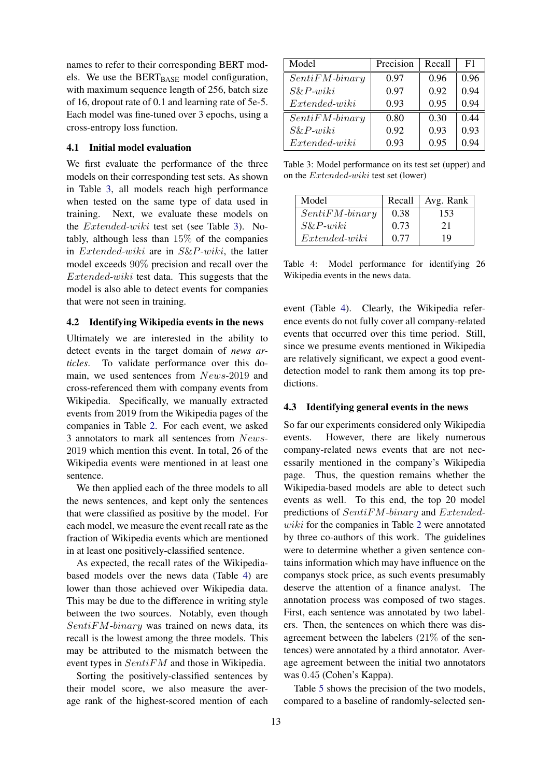names to refer to their corresponding BERT models. We use the  $BERT_{BASE}$  model configuration, with maximum sequence length of 256, batch size of 16, dropout rate of 0.1 and learning rate of 5e-5. Each model was fine-tuned over 3 epochs, using a cross-entropy loss function.

### 4.1 Initial model evaluation

We first evaluate the performance of the three models on their corresponding test sets. As shown in Table [3,](#page-3-0) all models reach high performance when tested on the same type of data used in training. Next, we evaluate these models on the Extended-wiki test set (see Table [3\)](#page-3-0). Notably, although less than 15% of the companies in Extended-wiki are in S&P-wiki, the latter model exceeds 90% precision and recall over the Extended-wiki test data. This suggests that the model is also able to detect events for companies that were not seen in training.

#### 4.2 Identifying Wikipedia events in the news

Ultimately we are interested in the ability to detect events in the target domain of *news articles*. To validate performance over this domain, we used sentences from News-2019 and cross-referenced them with company events from Wikipedia. Specifically, we manually extracted events from 2019 from the Wikipedia pages of the companies in Table [2.](#page-2-2) For each event, we asked 3 annotators to mark all sentences from News-2019 which mention this event. In total, 26 of the Wikipedia events were mentioned in at least one sentence.

We then applied each of the three models to all the news sentences, and kept only the sentences that were classified as positive by the model. For each model, we measure the event recall rate as the fraction of Wikipedia events which are mentioned in at least one positively-classified sentence.

As expected, the recall rates of the Wikipediabased models over the news data (Table [4\)](#page-3-1) are lower than those achieved over Wikipedia data. This may be due to the difference in writing style between the two sources. Notably, even though  $SentiFM\text{-}binary$  was trained on news data, its recall is the lowest among the three models. This may be attributed to the mismatch between the event types in SentiFM and those in Wikipedia.

Sorting the positively-classified sentences by their model score, we also measure the average rank of the highest-scored mention of each

<span id="page-3-0"></span>

| Model                   | Precision | Recall | F1   |
|-------------------------|-----------|--------|------|
| $SentiFM\text{-}binary$ | 0.97      | 0.96   | 0.96 |
| $S\&P\text{-}wiki$      | 0.97      | 0.92   | 0.94 |
| $Extended-wiki$         | 0.93      | 0.95   | 0.94 |
| $SentiFM\text{-}binary$ | 0.80      | 0.30   | 0.44 |
| $S\&P\text{-}wiki$      | 0.92      | 0.93   | 0.93 |
| $Extended-wiki$         | 0.93      | 0.95   | 0.94 |

Table 3: Model performance on its test set (upper) and on the Extended-wiki test set (lower)

<span id="page-3-1"></span>

| Model                   | Recall | Avg. Rank |
|-------------------------|--------|-----------|
| $SentiFM\text{-}binary$ | 0.38   | 153       |
| $S\&P\text{-}wiki$      | 0.73   | 21        |
| $Extended-wiki$         | 0.77   | 19        |

Table 4: Model performance for identifying 26 Wikipedia events in the news data.

event (Table [4\)](#page-3-1). Clearly, the Wikipedia reference events do not fully cover all company-related events that occurred over this time period. Still, since we presume events mentioned in Wikipedia are relatively significant, we expect a good eventdetection model to rank them among its top predictions.

#### 4.3 Identifying general events in the news

So far our experiments considered only Wikipedia events. However, there are likely numerous company-related news events that are not necessarily mentioned in the company's Wikipedia page. Thus, the question remains whether the Wikipedia-based models are able to detect such events as well. To this end, the top 20 model predictions of SentiFM-binary and Extendedwiki for the companies in Table [2](#page-2-2) were annotated by three co-authors of this work. The guidelines were to determine whether a given sentence contains information which may have influence on the companys stock price, as such events presumably deserve the attention of a finance analyst. The annotation process was composed of two stages. First, each sentence was annotated by two labelers. Then, the sentences on which there was disagreement between the labelers (21% of the sentences) were annotated by a third annotator. Average agreement between the initial two annotators was 0.45 (Cohen's Kappa).

Table [5](#page-4-6) shows the precision of the two models, compared to a baseline of randomly-selected sen-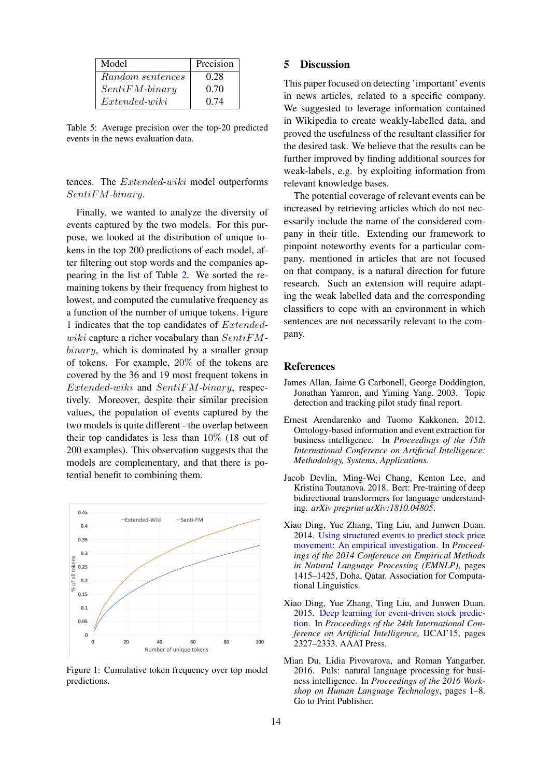<span id="page-4-6"></span>

| Model                   | Precision |
|-------------------------|-----------|
| Random sentences        | 0.28      |
| $SentiFM\text{-}binary$ | 0.70      |
| $Extended-wiki$         | 0.74      |

Table 5: Average precision over the top-20 predicted events in the news evaluation data.

tences. The Extended-wiki model outperforms SentiFM-binary.

Finally, we wanted to analyze the diversity of events captured by the two models. For this purpose, we looked at the distribution of unique tokens in the top 200 predictions of each model, after filtering out stop words and the companies appearing in the list of Table [2.](#page-2-2) We sorted the remaining tokens by their frequency from highest to lowest, and computed the cumulative frequency as a function of the number of unique tokens. Figure [1](#page-4-7) indicates that the top candidates of Extendedwiki capture a richer vocabulary than  $SentiFM$ binary, which is dominated by a smaller group of tokens. For example, 20% of the tokens are covered by the 36 and 19 most frequent tokens in Extended-wiki and SentiFM-binary, respectively. Moreover, despite their similar precision values, the population of events captured by the two models is quite different - the overlap between their top candidates is less than 10% (18 out of 200 examples). This observation suggests that the models are complementary, and that there is potential benefit to combining them.

<span id="page-4-7"></span>

Figure 1: Cumulative token frequency over top model predictions.

### 5 Discussion

This paper focused on detecting 'important' events in news articles, related to a specific company. We suggested to leverage information contained in Wikipedia to create weakly-labelled data, and proved the usefulness of the resultant classifier for the desired task. We believe that the results can be further improved by finding additional sources for weak-labels, e.g. by exploiting information from relevant knowledge bases.

The potential coverage of relevant events can be increased by retrieving articles which do not necessarily include the name of the considered company in their title. Extending our framework to pinpoint noteworthy events for a particular company, mentioned in articles that are not focused on that company, is a natural direction for future research. Such an extension will require adapting the weak labelled data and the corresponding classifiers to cope with an environment in which sentences are not necessarily relevant to the company.

#### References

- <span id="page-4-0"></span>James Allan, Jaime G Carbonell, George Doddington, Jonathan Yamron, and Yiming Yang. 2003. Topic detection and tracking pilot study final report.
- <span id="page-4-3"></span>Ernest Arendarenko and Tuomo Kakkonen. 2012. Ontology-based information and event extraction for business intelligence. In *Proceedings of the 15th International Conference on Artificial Intelligence: Methodology, Systems, Applications*.
- <span id="page-4-5"></span>Jacob Devlin, Ming-Wei Chang, Kenton Lee, and Kristina Toutanova. 2018. Bert: Pre-training of deep bidirectional transformers for language understanding. *arXiv preprint arXiv:1810.04805*.
- <span id="page-4-4"></span>Xiao Ding, Yue Zhang, Ting Liu, and Junwen Duan. 2014. [Using structured events to predict stock price](https://doi.org/10.3115/v1/D14-1148) [movement: An empirical investigation.](https://doi.org/10.3115/v1/D14-1148) In *Proceedings of the 2014 Conference on Empirical Methods in Natural Language Processing (EMNLP)*, pages 1415–1425, Doha, Qatar. Association for Computational Linguistics.
- <span id="page-4-1"></span>Xiao Ding, Yue Zhang, Ting Liu, and Junwen Duan. 2015. [Deep learning for event-driven stock predic](http://dl.acm.org/citation.cfm?id=2832415.2832572)[tion.](http://dl.acm.org/citation.cfm?id=2832415.2832572) In *Proceedings of the 24th International Conference on Artificial Intelligence*, IJCAI'15, pages 2327–2333. AAAI Press.
- <span id="page-4-2"></span>Mian Du, Lidia Pivovarova, and Roman Yangarber. 2016. Puls: natural language processing for business intelligence. In *Proceedings of the 2016 Workshop on Human Language Technology*, pages 1–8. Go to Print Publisher.